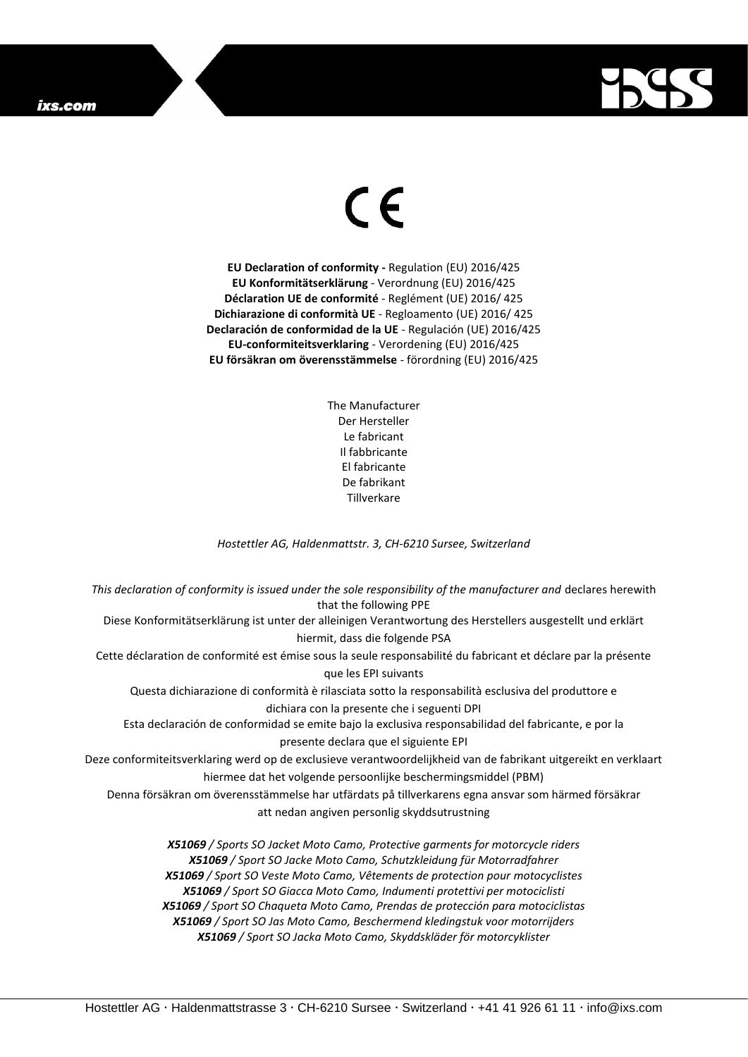## ixs.com



## $\epsilon$

**EU Declaration of conformity -** Regulation (EU) 2016/425 **EU Konformitätserklärung** - Verordnung (EU) 2016/425 **Déclaration UE de conformité** - Reglément (UE) 2016/ 425 **Dichiarazione di conformità UE** - Regloamento (UE) 2016/ 425 **Declaración de conformidad de la UE** - Regulación (UE) 2016/425 **EU-conformiteitsverklaring** - Verordening (EU) 2016/425 **EU försäkran om överensstämmelse** - förordning (EU) 2016/425

> The Manufacturer Der Hersteller Le fabricant Il fabbricante El fabricante De fabrikant **Tillverkare**

*Hostettler AG, Haldenmattstr. 3, CH-6210 Sursee, Switzerland*

*This declaration of conformity is issued under the sole responsibility of the manufacturer and* declares herewith that the following PPE Diese Konformitätserklärung ist unter der alleinigen Verantwortung des Herstellers ausgestellt und erklärt hiermit, dass die folgende PSA Cette déclaration de conformité est émise sous la seule responsabilité du fabricant et déclare par la présente que les EPI suivants Questa dichiarazione di conformità è rilasciata sotto la responsabilità esclusiva del produttore e dichiara con la presente che i seguenti DPI Esta declaración de conformidad se emite bajo la exclusiva responsabilidad del fabricante, e por la presente declara que el siguiente EPI Deze conformiteitsverklaring werd op de exclusieve verantwoordelijkheid van de fabrikant uitgereikt en verklaart hiermee dat het volgende persoonlijke beschermingsmiddel (PBM) Denna försäkran om överensstämmelse har utfärdats på tillverkarens egna ansvar som härmed försäkrar att nedan angiven personlig skyddsutrustning *X51069 / Sports SO Jacket Moto Camo, Protective garments for motorcycle riders X51069 / Sport SO Jacke Moto Camo, Schutzkleidung für Motorradfahrer X51069 / Sport SO Veste Moto Camo, Vêtements de protection pour motocyclistes X51069 / Sport SO Giacca Moto Camo, Indumenti protettivi per motociclisti X51069 / Sport SO Chaqueta Moto Camo, Prendas de protección para motociclistas*

*X51069 / Sport SO Jas Moto Camo, Beschermend kledingstuk voor motorrijders X51069 / Sport SO Jacka Moto Camo, Skyddskläder för motorcyklister*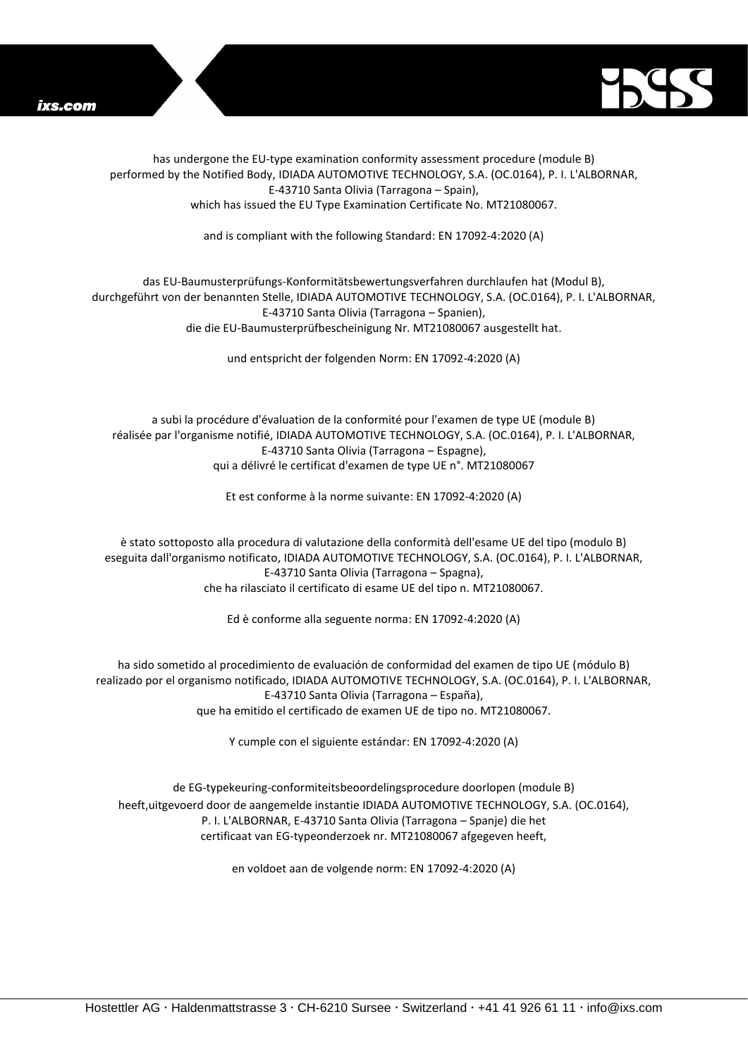



has undergone the EU-type examination conformity assessment procedure (module B) performed by the Notified Body, IDIADA AUTOMOTIVE TECHNOLOGY, S.A. (OC.0164), P. I. L'ALBORNAR, E-43710 Santa Olivia (Tarragona – Spain), which has issued the EU Type Examination Certificate No. MT21080067.

and is compliant with the following Standard: EN 17092-4:2020 (A)

## das EU-Baumusterprüfungs-Konformitätsbewertungsverfahren durchlaufen hat (Modul B), durchgeführt von der benannten Stelle, IDIADA AUTOMOTIVE TECHNOLOGY, S.A. (OC.0164), P. I. L'ALBORNAR, E-43710 Santa Olivia (Tarragona – Spanien), die die EU-Baumusterprüfbescheinigung Nr. MT21080067 ausgestellt hat.

und entspricht der folgenden Norm: EN 17092-4:2020 (A)

a subi la procédure d'évaluation de la conformité pour l'examen de type UE (module B) réalisée par l'organisme notifié, IDIADA AUTOMOTIVE TECHNOLOGY, S.A. (OC.0164), P. I. L'ALBORNAR, E-43710 Santa Olivia (Tarragona – Espagne), qui a délivré le certificat d'examen de type UE n°. MT21080067

Et est conforme à la norme suivante: EN 17092-4:2020 (A)

è stato sottoposto alla procedura di valutazione della conformità dell'esame UE del tipo (modulo B) eseguita dall'organismo notificato, IDIADA AUTOMOTIVE TECHNOLOGY, S.A. (OC.0164), P. I. L'ALBORNAR, E-43710 Santa Olivia (Tarragona – Spagna), che ha rilasciato il certificato di esame UE del tipo n. MT21080067.

Ed è conforme alla seguente norma: EN 17092-4:2020 (A)

ha sido sometido al procedimiento de evaluación de conformidad del examen de tipo UE (módulo B) realizado por el organismo notificado, IDIADA AUTOMOTIVE TECHNOLOGY, S.A. (OC.0164), P. I. L'ALBORNAR, E-43710 Santa Olivia (Tarragona – España), que ha emitido el certificado de examen UE de tipo no. MT21080067.

Y cumple con el siguiente estándar: EN 17092-4:2020 (A)

de EG-typekeuring-conformiteitsbeoordelingsprocedure doorlopen (module B) heeft,uitgevoerd door de aangemelde instantie IDIADA AUTOMOTIVE TECHNOLOGY, S.A. (OC.0164), P. I. L'ALBORNAR, E-43710 Santa Olivia (Tarragona – Spanje) die het certificaat van EG-typeonderzoek nr. MT21080067 afgegeven heeft,

en voldoet aan de volgende norm: EN 17092-4:2020 (A)